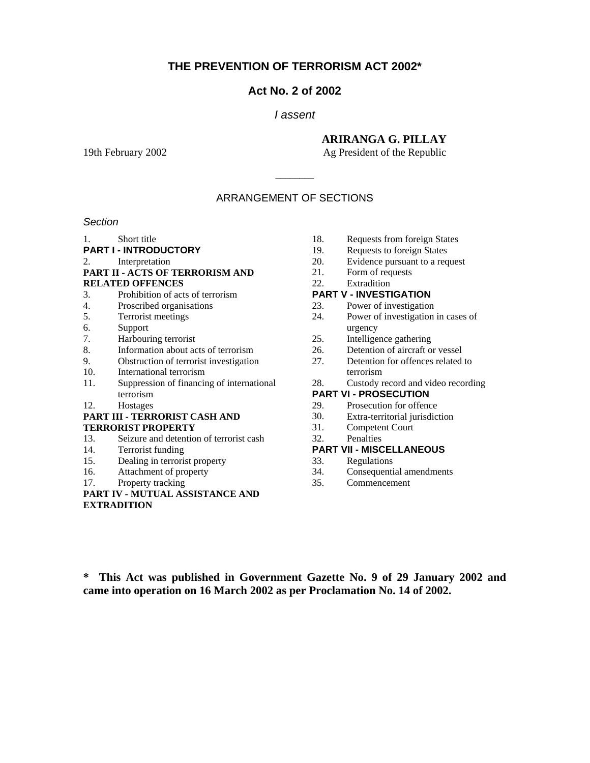## **THE PREVENTION OF TERRORISM ACT 2002\***

#### **Act No. 2 of 2002**

#### *I assent*

#### **ARIRANGA G. PILLAY**

19th February 2002 **Ag President of the Republic** 

#### ARRANGEMENT OF SECTIONS

\_\_\_\_\_\_\_\_

#### *Section*

1. Short title

- **PART I INTRODUCTORY**
- 2. Interpretation

#### **PART II - ACTS OF TERRORISM AND RELATED OFFENCES**

- 3. Prohibition of acts of terrorism
- 4. Proscribed organisations
- 5. Terrorist meetings
- 6. Support
- 7. Harbouring terrorist
- 8. Information about acts of terrorism
- 9. Obstruction of terrorist investigation
- 10. International terrorism
- 11. Suppression of financing of international terrorism
- 12. Hostages

#### **PART III - TERRORIST CASH AND TERRORIST PROPERTY**

- 13. Seizure and detention of terrorist cash
- 14. Terrorist funding
- 15. Dealing in terrorist property
- 16. Attachment of property
- 17. Property tracking
- **PART IV MUTUAL ASSISTANCE AND EXTRADITION**
- 18. Requests from foreign States
- 19. Requests to foreign States
- 20. Evidence pursuant to a request
- 21. Form of requests
- 22. Extradition

#### **PART V - INVESTIGATION**

- 23. Power of investigation
- 24. Power of investigation in cases of urgency
- 25. Intelligence gathering
- 26. Detention of aircraft or vessel
- 27. Detention for offences related to terrorism
- 28. Custody record and video recording

#### **PART VI - PROSECUTION**

- 29. Prosecution for offence
- 30. Extra-territorial jurisdiction
- 31. Competent Court
- 32. Penalties

#### **PART VII - MISCELLANEOUS**

- 33. Regulations
- 34. Consequential amendments
- 35. Commencement

**\* This Act was published in Government Gazette No. 9 of 29 January 2002 and came into operation on 16 March 2002 as per Proclamation No. 14 of 2002.**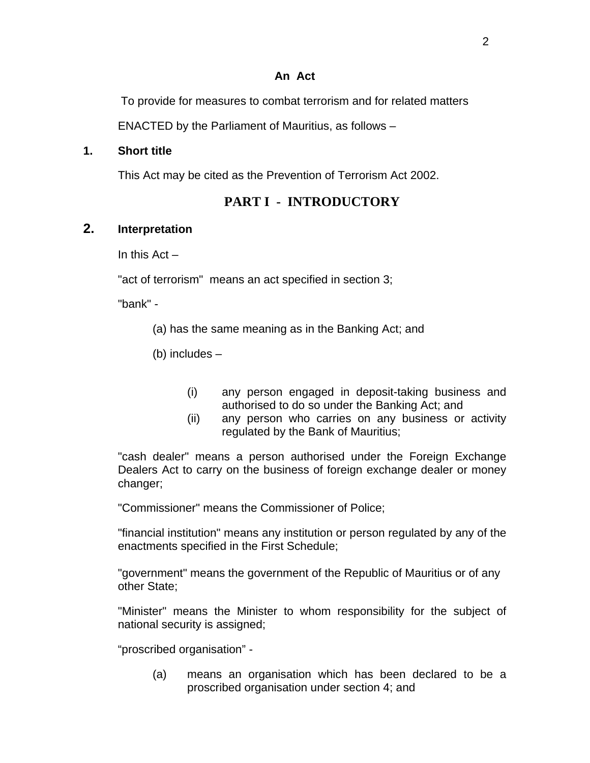#### **An Act**

To provide for measures to combat terrorism and for related matters

ENACTED by the Parliament of Mauritius, as follows –

### **1. Short title**

This Act may be cited as the Prevention of Terrorism Act 2002.

# **PART I - INTRODUCTORY**

## **2. Interpretation**

In this Act –

"act of terrorism" means an act specified in section 3;

"bank" -

(a) has the same meaning as in the Banking Act; and

(b) includes –

- (i) any person engaged in deposit-taking business and authorised to do so under the Banking Act; and
- (ii) any person who carries on any business or activity regulated by the Bank of Mauritius;

"cash dealer" means a person authorised under the Foreign Exchange Dealers Act to carry on the business of foreign exchange dealer or money changer;

"Commissioner" means the Commissioner of Police;

"financial institution" means any institution or person regulated by any of the enactments specified in the First Schedule;

"government" means the government of the Republic of Mauritius or of any other State;

"Minister" means the Minister to whom responsibility for the subject of national security is assigned;

"proscribed organisation" -

(a) means an organisation which has been declared to be a proscribed organisation under section 4; and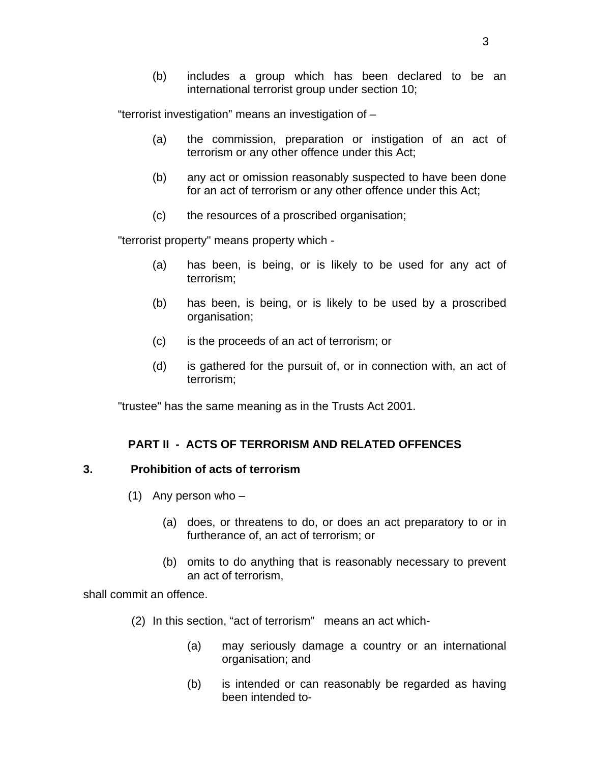(b) includes a group which has been declared to be an international terrorist group under section 10;

"terrorist investigation" means an investigation of –

- (a) the commission, preparation or instigation of an act of terrorism or any other offence under this Act;
- (b) any act or omission reasonably suspected to have been done for an act of terrorism or any other offence under this Act;
- (c) the resources of a proscribed organisation;

"terrorist property" means property which -

- (a) has been, is being, or is likely to be used for any act of terrorism;
- (b) has been, is being, or is likely to be used by a proscribed organisation;
- (c) is the proceeds of an act of terrorism; or
- (d) is gathered for the pursuit of, or in connection with, an act of terrorism;

"trustee" has the same meaning as in the Trusts Act 2001.

### **PART II - ACTS OF TERRORISM AND RELATED OFFENCES**

### **3. Prohibition of acts of terrorism**

- (1) Any person who
	- (a) does, or threatens to do, or does an act preparatory to or in furtherance of, an act of terrorism; or
	- (b) omits to do anything that is reasonably necessary to prevent an act of terrorism,

shall commit an offence.

- (2) In this section, "act of terrorism" means an act which-
	- (a) may seriously damage a country or an international organisation; and
	- (b) is intended or can reasonably be regarded as having been intended to-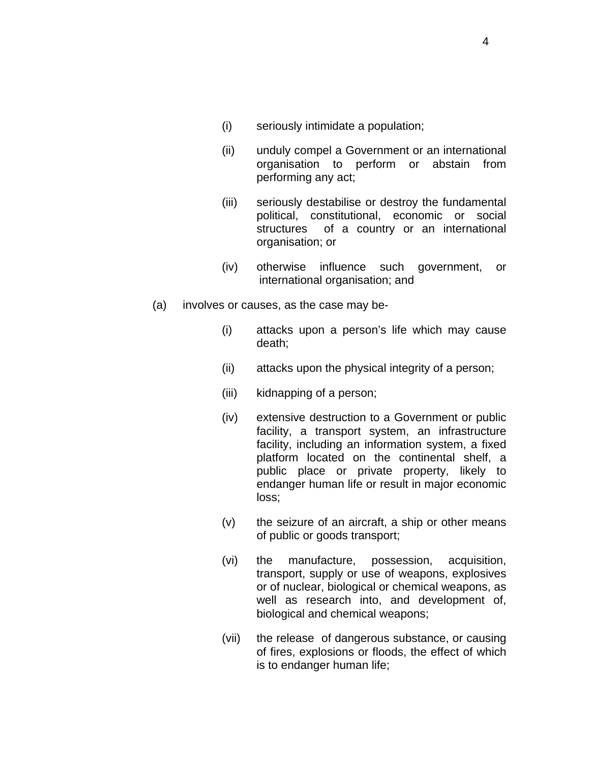- (i) seriously intimidate a population;
- (ii) unduly compel a Government or an international organisation to perform or abstain from performing any act;
- (iii) seriously destabilise or destroy the fundamental political, constitutional, economic or social structures of a country or an international organisation; or
- (iv) otherwise influence such government, or international organisation; and
- (a) involves or causes, as the case may be-
	- (i) attacks upon a person's life which may cause death;
	- (ii) attacks upon the physical integrity of a person;
	- (iii) kidnapping of a person;
	- (iv) extensive destruction to a Government or public facility, a transport system, an infrastructure facility, including an information system, a fixed platform located on the continental shelf, a public place or private property, likely to endanger human life or result in major economic loss;
	- (v) the seizure of an aircraft, a ship or other means of public or goods transport;
	- (vi) the manufacture, possession, acquisition, transport, supply or use of weapons, explosives or of nuclear, biological or chemical weapons, as well as research into, and development of, biological and chemical weapons;
	- (vii) the release of dangerous substance, or causing of fires, explosions or floods, the effect of which is to endanger human life;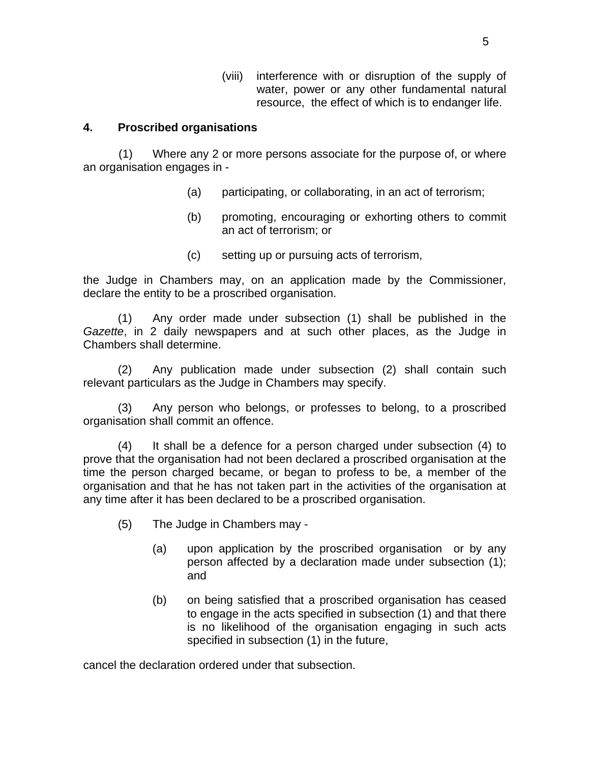(viii) interference with or disruption of the supply of water, power or any other fundamental natural resource, the effect of which is to endanger life.

## **4. Proscribed organisations**

 (1) Where any 2 or more persons associate for the purpose of, or where an organisation engages in -

- (a) participating, or collaborating, in an act of terrorism;
- (b) promoting, encouraging or exhorting others to commit an act of terrorism; or
- (c) setting up or pursuing acts of terrorism,

the Judge in Chambers may, on an application made by the Commissioner, declare the entity to be a proscribed organisation.

(1) Any order made under subsection (1) shall be published in the *Gazette*, in 2 daily newspapers and at such other places, as the Judge in Chambers shall determine.

(2) Any publication made under subsection (2) shall contain such relevant particulars as the Judge in Chambers may specify.

(3) Any person who belongs, or professes to belong, to a proscribed organisation shall commit an offence.

(4) It shall be a defence for a person charged under subsection (4) to prove that the organisation had not been declared a proscribed organisation at the time the person charged became, or began to profess to be, a member of the organisation and that he has not taken part in the activities of the organisation at any time after it has been declared to be a proscribed organisation.

- (5) The Judge in Chambers may
	- (a) upon application by the proscribed organisation or by any person affected by a declaration made under subsection (1); and
	- (b) on being satisfied that a proscribed organisation has ceased to engage in the acts specified in subsection (1) and that there is no likelihood of the organisation engaging in such acts specified in subsection (1) in the future,

cancel the declaration ordered under that subsection.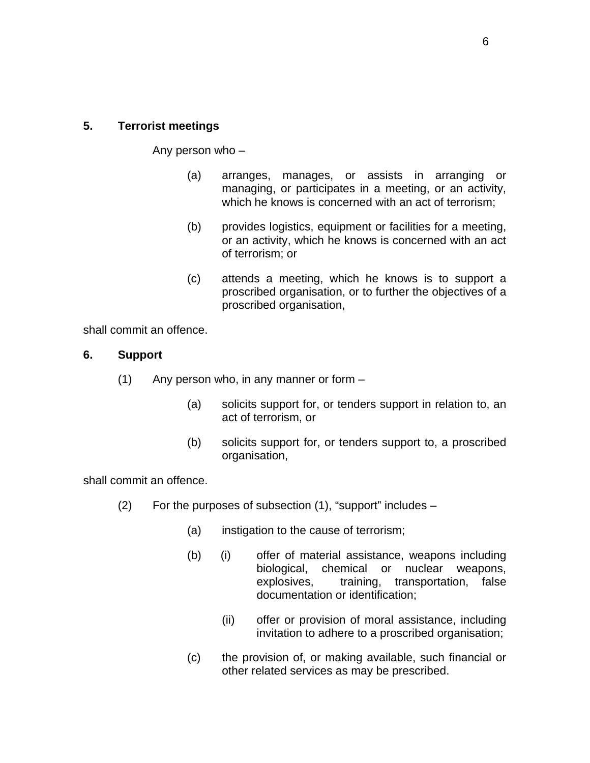#### **5. Terrorist meetings**

Any person who –

- (a) arranges, manages, or assists in arranging or managing, or participates in a meeting, or an activity, which he knows is concerned with an act of terrorism;
- (b) provides logistics, equipment or facilities for a meeting, or an activity, which he knows is concerned with an act of terrorism; or
- (c) attends a meeting, which he knows is to support a proscribed organisation, or to further the objectives of a proscribed organisation,

shall commit an offence.

#### **6. Support**

- (1) Any person who, in any manner or form
	- (a) solicits support for, or tenders support in relation to, an act of terrorism, or
	- (b) solicits support for, or tenders support to, a proscribed organisation,

shall commit an offence.

- (2) For the purposes of subsection (1), "support" includes
	- (a) instigation to the cause of terrorism;
	- (b) (i) offer of material assistance, weapons including biological, chemical or nuclear weapons, explosives, training, transportation, false documentation or identification;
		- (ii) offer or provision of moral assistance, including invitation to adhere to a proscribed organisation;
	- (c) the provision of, or making available, such financial or other related services as may be prescribed.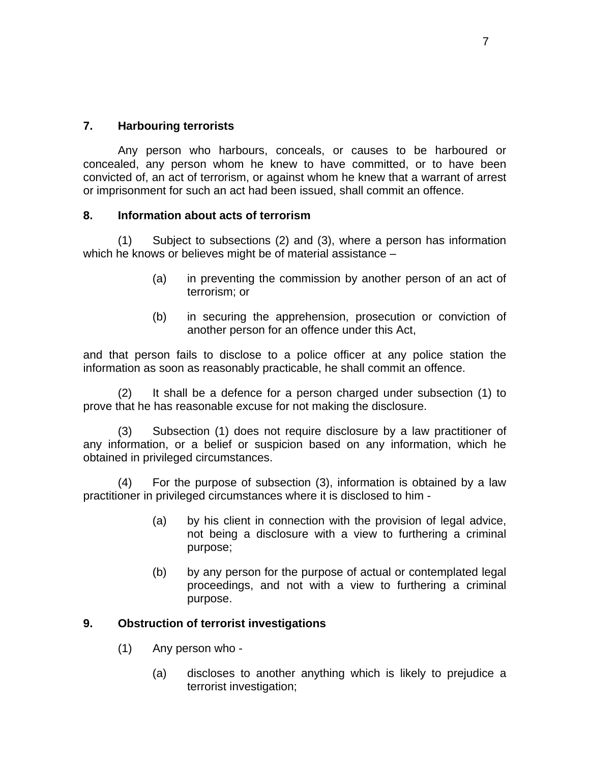## **7. Harbouring terrorists**

 Any person who harbours, conceals, or causes to be harboured or concealed, any person whom he knew to have committed, or to have been convicted of, an act of terrorism, or against whom he knew that a warrant of arrest or imprisonment for such an act had been issued, shall commit an offence.

### **8. Information about acts of terrorism**

(1) Subject to subsections (2) and (3), where a person has information which he knows or believes might be of material assistance -

- (a) in preventing the commission by another person of an act of terrorism; or
- (b) in securing the apprehension, prosecution or conviction of another person for an offence under this Act,

and that person fails to disclose to a police officer at any police station the information as soon as reasonably practicable, he shall commit an offence.

(2) It shall be a defence for a person charged under subsection (1) to prove that he has reasonable excuse for not making the disclosure.

(3) Subsection (1) does not require disclosure by a law practitioner of any information, or a belief or suspicion based on any information, which he obtained in privileged circumstances.

(4) For the purpose of subsection (3), information is obtained by a law practitioner in privileged circumstances where it is disclosed to him -

- (a) by his client in connection with the provision of legal advice, not being a disclosure with a view to furthering a criminal purpose;
- (b) by any person for the purpose of actual or contemplated legal proceedings, and not with a view to furthering a criminal purpose.

# **9. Obstruction of terrorist investigations**

- (1) Any person who
	- (a) discloses to another anything which is likely to prejudice a terrorist investigation;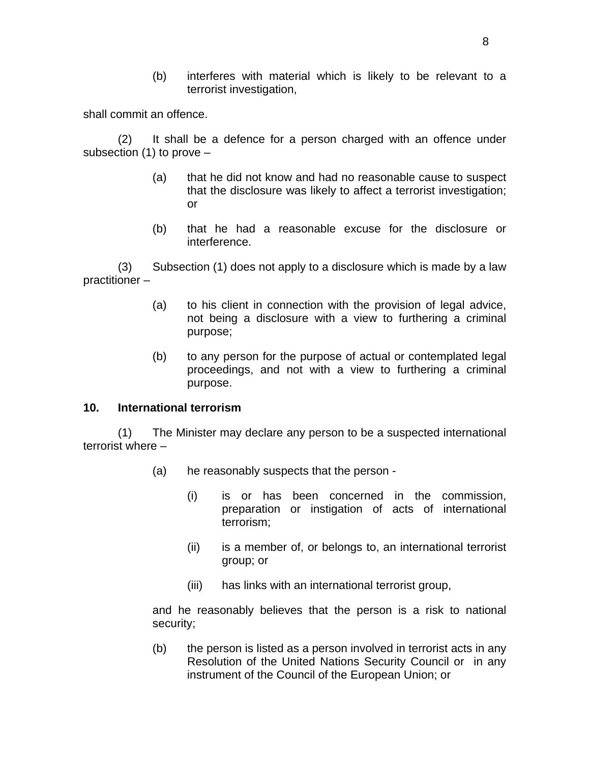(b) interferes with material which is likely to be relevant to a terrorist investigation,

shall commit an offence.

(2) It shall be a defence for a person charged with an offence under subsection (1) to prove –

- (a) that he did not know and had no reasonable cause to suspect that the disclosure was likely to affect a terrorist investigation; or
- (b) that he had a reasonable excuse for the disclosure or interference.

(3) Subsection (1) does not apply to a disclosure which is made by a law practitioner –

- (a) to his client in connection with the provision of legal advice, not being a disclosure with a view to furthering a criminal purpose;
- (b) to any person for the purpose of actual or contemplated legal proceedings, and not with a view to furthering a criminal purpose.

### **10. International terrorism**

(1) The Minister may declare any person to be a suspected international terrorist where –

- (a) he reasonably suspects that the person
	- (i) is or has been concerned in the commission, preparation or instigation of acts of international terrorism;
	- (ii) is a member of, or belongs to, an international terrorist group; or
	- (iii) has links with an international terrorist group,

and he reasonably believes that the person is a risk to national security;

(b) the person is listed as a person involved in terrorist acts in any Resolution of the United Nations Security Council or in any instrument of the Council of the European Union; or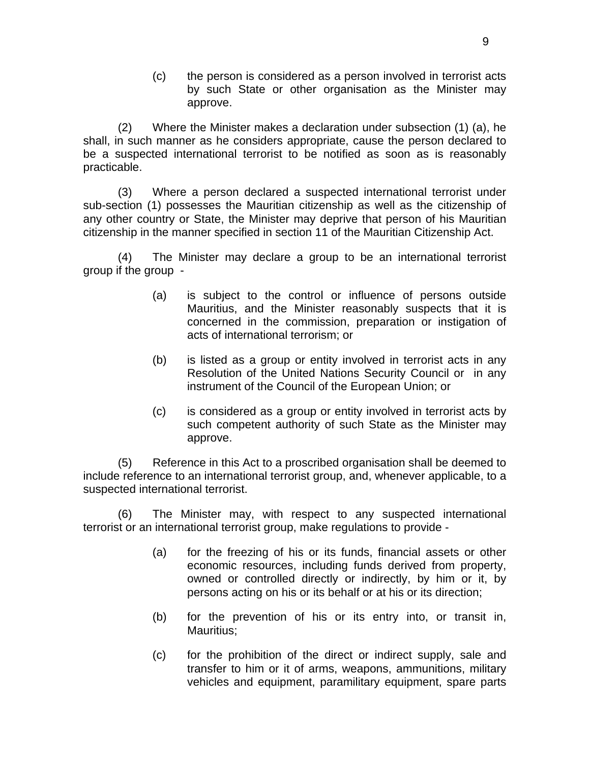(c) the person is considered as a person involved in terrorist acts by such State or other organisation as the Minister may approve.

(2) Where the Minister makes a declaration under subsection (1) (a), he shall, in such manner as he considers appropriate, cause the person declared to be a suspected international terrorist to be notified as soon as is reasonably practicable.

(3) Where a person declared a suspected international terrorist under sub-section (1) possesses the Mauritian citizenship as well as the citizenship of any other country or State, the Minister may deprive that person of his Mauritian citizenship in the manner specified in section 11 of the Mauritian Citizenship Act.

(4) The Minister may declare a group to be an international terrorist group if the group -

- (a) is subject to the control or influence of persons outside Mauritius, and the Minister reasonably suspects that it is concerned in the commission, preparation or instigation of acts of international terrorism; or
- (b) is listed as a group or entity involved in terrorist acts in any Resolution of the United Nations Security Council or in any instrument of the Council of the European Union; or
- (c) is considered as a group or entity involved in terrorist acts by such competent authority of such State as the Minister may approve.

(5) Reference in this Act to a proscribed organisation shall be deemed to include reference to an international terrorist group, and, whenever applicable, to a suspected international terrorist.

(6) The Minister may, with respect to any suspected international terrorist or an international terrorist group, make regulations to provide -

- (a) for the freezing of his or its funds, financial assets or other economic resources, including funds derived from property, owned or controlled directly or indirectly, by him or it, by persons acting on his or its behalf or at his or its direction;
- (b) for the prevention of his or its entry into, or transit in, Mauritius;
- (c) for the prohibition of the direct or indirect supply, sale and transfer to him or it of arms, weapons, ammunitions, military vehicles and equipment, paramilitary equipment, spare parts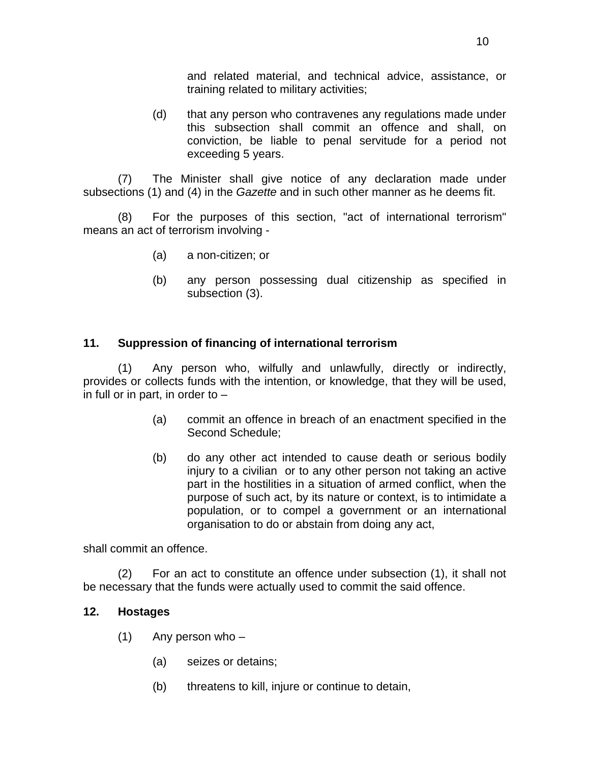and related material, and technical advice, assistance, or training related to military activities;

(d) that any person who contravenes any regulations made under this subsection shall commit an offence and shall, on conviction, be liable to penal servitude for a period not exceeding 5 years.

(7) The Minister shall give notice of any declaration made under subsections (1) and (4) in the *Gazette* and in such other manner as he deems fit.

 (8) For the purposes of this section, "act of international terrorism" means an act of terrorism involving -

- (a) a non-citizen; or
- (b) any person possessing dual citizenship as specified in subsection (3).

## **11. Suppression of financing of international terrorism**

(1) Any person who, wilfully and unlawfully, directly or indirectly, provides or collects funds with the intention, or knowledge, that they will be used, in full or in part, in order to  $-$ 

- (a) commit an offence in breach of an enactment specified in the Second Schedule;
- (b) do any other act intended to cause death or serious bodily injury to a civilian or to any other person not taking an active part in the hostilities in a situation of armed conflict, when the purpose of such act, by its nature or context, is to intimidate a population, or to compel a government or an international organisation to do or abstain from doing any act,

shall commit an offence.

(2) For an act to constitute an offence under subsection (1), it shall not be necessary that the funds were actually used to commit the said offence.

### **12. Hostages**

- $(1)$  Any person who
	- (a) seizes or detains;
	- (b) threatens to kill, injure or continue to detain,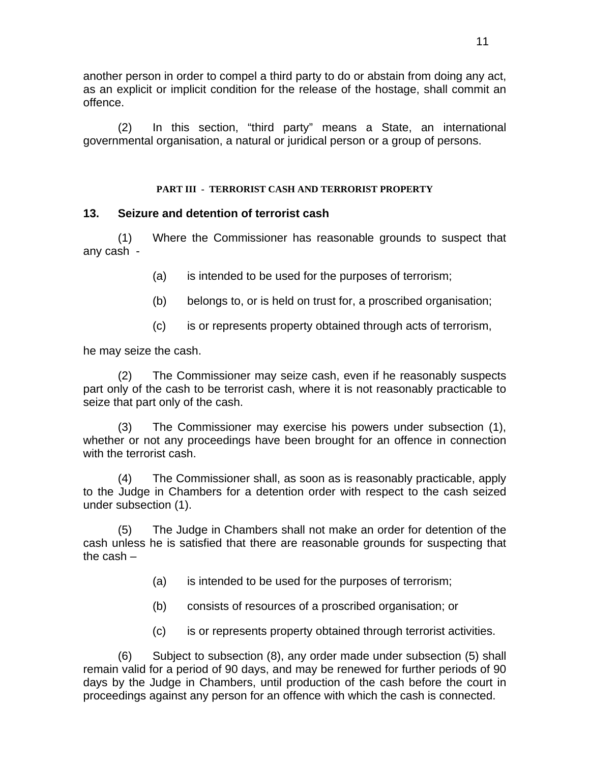another person in order to compel a third party to do or abstain from doing any act, as an explicit or implicit condition for the release of the hostage, shall commit an offence.

(2) In this section, "third party" means a State, an international governmental organisation, a natural or juridical person or a group of persons.

#### **PART III - TERRORIST CASH AND TERRORIST PROPERTY**

## **13. Seizure and detention of terrorist cash**

(1) Where the Commissioner has reasonable grounds to suspect that any cash -

- (a) is intended to be used for the purposes of terrorism;
- (b) belongs to, or is held on trust for, a proscribed organisation;
- (c) is or represents property obtained through acts of terrorism,

he may seize the cash.

 (2) The Commissioner may seize cash, even if he reasonably suspects part only of the cash to be terrorist cash, where it is not reasonably practicable to seize that part only of the cash.

 (3) The Commissioner may exercise his powers under subsection (1), whether or not any proceedings have been brought for an offence in connection with the terrorist cash.

(4) The Commissioner shall, as soon as is reasonably practicable, apply to the Judge in Chambers for a detention order with respect to the cash seized under subsection (1).

 (5) The Judge in Chambers shall not make an order for detention of the cash unless he is satisfied that there are reasonable grounds for suspecting that the cash –

- (a) is intended to be used for the purposes of terrorism;
- (b) consists of resources of a proscribed organisation; or
- (c) is or represents property obtained through terrorist activities.

(6) Subject to subsection (8), any order made under subsection (5) shall remain valid for a period of 90 days, and may be renewed for further periods of 90 days by the Judge in Chambers, until production of the cash before the court in proceedings against any person for an offence with which the cash is connected.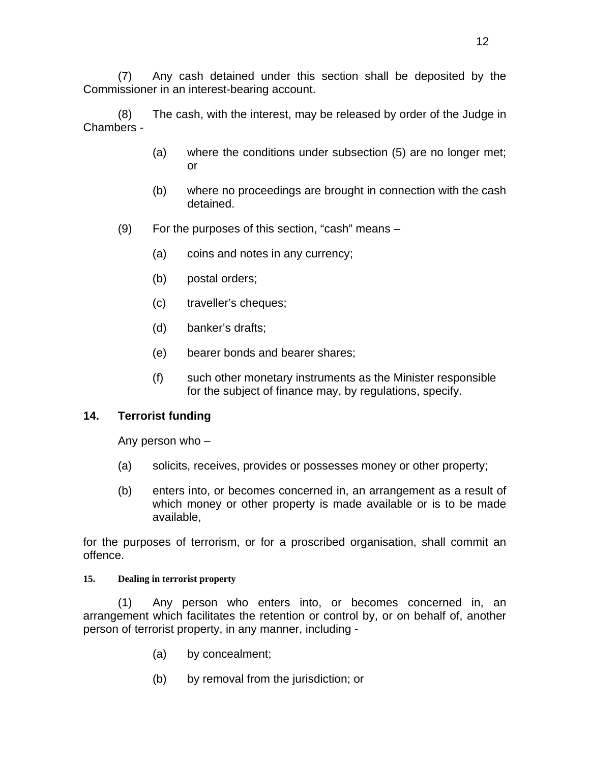(7) Any cash detained under this section shall be deposited by the Commissioner in an interest-bearing account.

(8) The cash, with the interest, may be released by order of the Judge in Chambers -

- (a) where the conditions under subsection (5) are no longer met; or
- (b) where no proceedings are brought in connection with the cash detained.
- (9) For the purposes of this section, "cash" means
	- (a) coins and notes in any currency;
	- (b) postal orders;
	- (c) traveller's cheques;
	- (d) banker's drafts;
	- (e) bearer bonds and bearer shares;
	- (f) such other monetary instruments as the Minister responsible for the subject of finance may, by regulations, specify.

### **14. Terrorist funding**

Any person who –

- (a) solicits, receives, provides or possesses money or other property;
- (b) enters into, or becomes concerned in, an arrangement as a result of which money or other property is made available or is to be made available,

for the purposes of terrorism, or for a proscribed organisation, shall commit an offence.

#### **15. Dealing in terrorist property**

 (1) Any person who enters into, or becomes concerned in, an arrangement which facilitates the retention or control by, or on behalf of, another person of terrorist property, in any manner, including -

- (a) by concealment;
- (b) by removal from the jurisdiction; or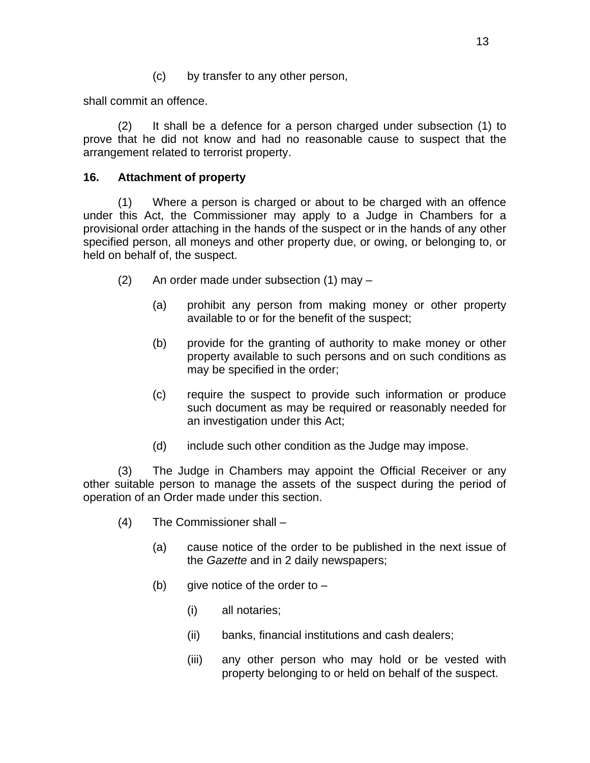(c) by transfer to any other person,

shall commit an offence.

 (2) It shall be a defence for a person charged under subsection (1) to prove that he did not know and had no reasonable cause to suspect that the arrangement related to terrorist property.

# **16. Attachment of property**

(1) Where a person is charged or about to be charged with an offence under this Act, the Commissioner may apply to a Judge in Chambers for a provisional order attaching in the hands of the suspect or in the hands of any other specified person, all moneys and other property due, or owing, or belonging to, or held on behalf of, the suspect.

- (2) An order made under subsection (1) may
	- (a) prohibit any person from making money or other property available to or for the benefit of the suspect;
	- (b) provide for the granting of authority to make money or other property available to such persons and on such conditions as may be specified in the order;
	- (c) require the suspect to provide such information or produce such document as may be required or reasonably needed for an investigation under this Act;
	- (d) include such other condition as the Judge may impose.

(3) The Judge in Chambers may appoint the Official Receiver or any other suitable person to manage the assets of the suspect during the period of operation of an Order made under this section.

- (4) The Commissioner shall
	- (a) cause notice of the order to be published in the next issue of the *Gazette* and in 2 daily newspapers;
	- (b) give notice of the order to  $-$ 
		- (i) all notaries;
		- (ii) banks, financial institutions and cash dealers;
		- (iii) any other person who may hold or be vested with property belonging to or held on behalf of the suspect.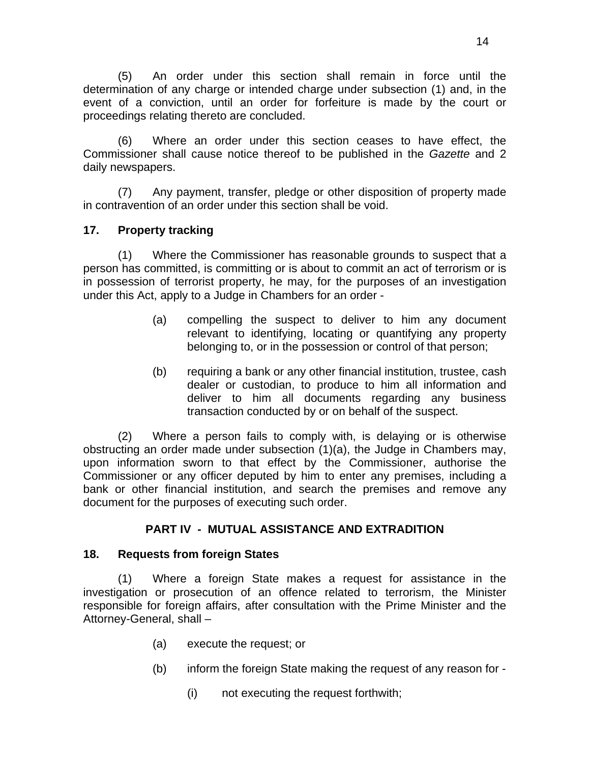(5) An order under this section shall remain in force until the determination of any charge or intended charge under subsection (1) and, in the event of a conviction, until an order for forfeiture is made by the court or proceedings relating thereto are concluded.

(6) Where an order under this section ceases to have effect, the Commissioner shall cause notice thereof to be published in the *Gazette* and 2 daily newspapers.

(7) Any payment, transfer, pledge or other disposition of property made in contravention of an order under this section shall be void.

## **17. Property tracking**

(1) Where the Commissioner has reasonable grounds to suspect that a person has committed, is committing or is about to commit an act of terrorism or is in possession of terrorist property, he may, for the purposes of an investigation under this Act, apply to a Judge in Chambers for an order -

- (a) compelling the suspect to deliver to him any document relevant to identifying, locating or quantifying any property belonging to, or in the possession or control of that person;
- (b) requiring a bank or any other financial institution, trustee, cash dealer or custodian, to produce to him all information and deliver to him all documents regarding any business transaction conducted by or on behalf of the suspect.

 (2) Where a person fails to comply with, is delaying or is otherwise obstructing an order made under subsection (1)(a), the Judge in Chambers may, upon information sworn to that effect by the Commissioner, authorise the Commissioner or any officer deputed by him to enter any premises, including a bank or other financial institution, and search the premises and remove any document for the purposes of executing such order.

# **PART IV - MUTUAL ASSISTANCE AND EXTRADITION**

### **18. Requests from foreign States**

(1) Where a foreign State makes a request for assistance in the investigation or prosecution of an offence related to terrorism, the Minister responsible for foreign affairs, after consultation with the Prime Minister and the Attorney-General, shall –

- (a) execute the request; or
- (b) inform the foreign State making the request of any reason for
	- (i) not executing the request forthwith;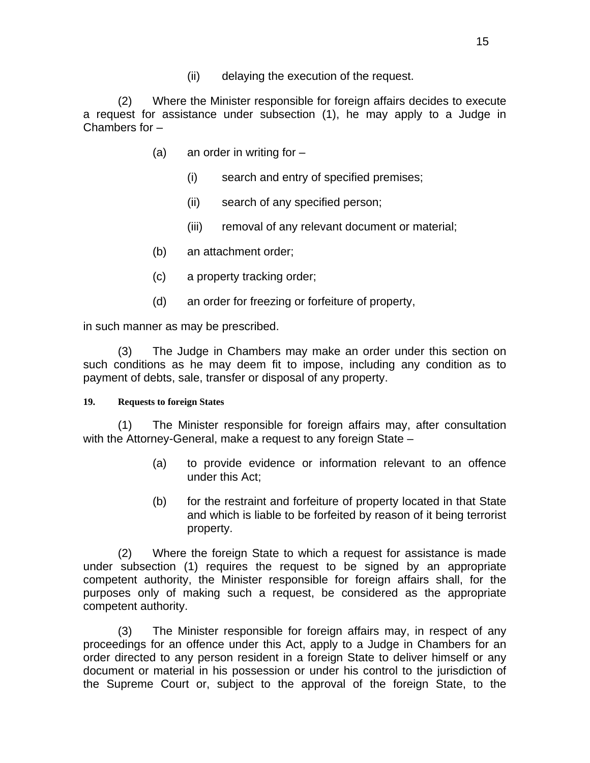(ii) delaying the execution of the request.

(2) Where the Minister responsible for foreign affairs decides to execute a request for assistance under subsection (1), he may apply to a Judge in Chambers for –

- (a) an order in writing for  $-$ 
	- (i) search and entry of specified premises;
	- (ii) search of any specified person;
	- (iii) removal of any relevant document or material;
- (b) an attachment order;
- (c) a property tracking order;
- (d) an order for freezing or forfeiture of property,

in such manner as may be prescribed.

 (3) The Judge in Chambers may make an order under this section on such conditions as he may deem fit to impose, including any condition as to payment of debts, sale, transfer or disposal of any property.

#### **19. Requests to foreign States**

(1) The Minister responsible for foreign affairs may, after consultation with the Attorney-General, make a request to any foreign State –

- (a) to provide evidence or information relevant to an offence under this Act;
- (b) for the restraint and forfeiture of property located in that State and which is liable to be forfeited by reason of it being terrorist property.

(2) Where the foreign State to which a request for assistance is made under subsection (1) requires the request to be signed by an appropriate competent authority, the Minister responsible for foreign affairs shall, for the purposes only of making such a request, be considered as the appropriate competent authority.

(3) The Minister responsible for foreign affairs may, in respect of any proceedings for an offence under this Act, apply to a Judge in Chambers for an order directed to any person resident in a foreign State to deliver himself or any document or material in his possession or under his control to the jurisdiction of the Supreme Court or, subject to the approval of the foreign State, to the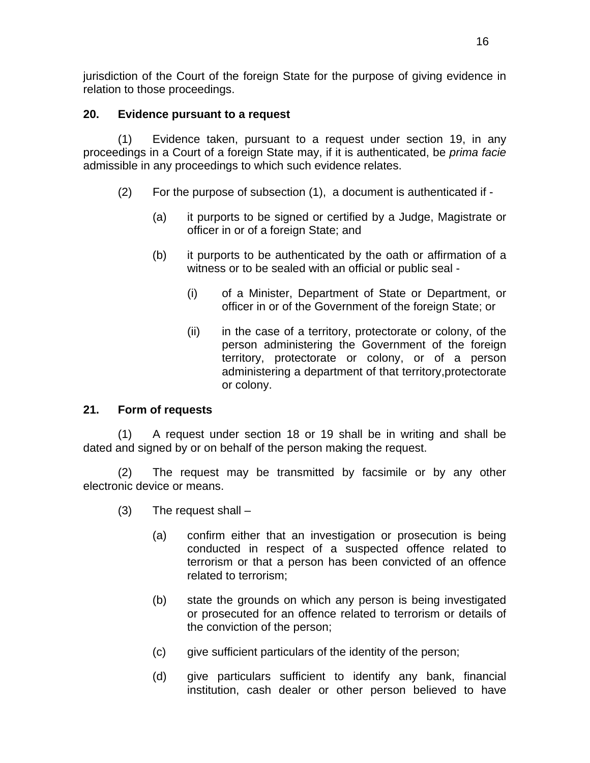jurisdiction of the Court of the foreign State for the purpose of giving evidence in relation to those proceedings.

# **20. Evidence pursuant to a request**

(1) Evidence taken, pursuant to a request under section 19, in any proceedings in a Court of a foreign State may, if it is authenticated, be *prima facie* admissible in any proceedings to which such evidence relates.

- (2) For the purpose of subsection (1), a document is authenticated if
	- (a) it purports to be signed or certified by a Judge, Magistrate or officer in or of a foreign State; and
	- (b) it purports to be authenticated by the oath or affirmation of a witness or to be sealed with an official or public seal -
		- (i) of a Minister, Department of State or Department, or officer in or of the Government of the foreign State; or
		- (ii) in the case of a territory, protectorate or colony, of the person administering the Government of the foreign territory, protectorate or colony, or of a person administering a department of that territory,protectorate or colony.

# **21. Form of requests**

(1) A request under section 18 or 19 shall be in writing and shall be dated and signed by or on behalf of the person making the request.

(2) The request may be transmitted by facsimile or by any other electronic device or means.

- $(3)$  The request shall  $-$ 
	- (a) confirm either that an investigation or prosecution is being conducted in respect of a suspected offence related to terrorism or that a person has been convicted of an offence related to terrorism;
	- (b) state the grounds on which any person is being investigated or prosecuted for an offence related to terrorism or details of the conviction of the person;
	- (c) give sufficient particulars of the identity of the person;
	- (d) give particulars sufficient to identify any bank, financial institution, cash dealer or other person believed to have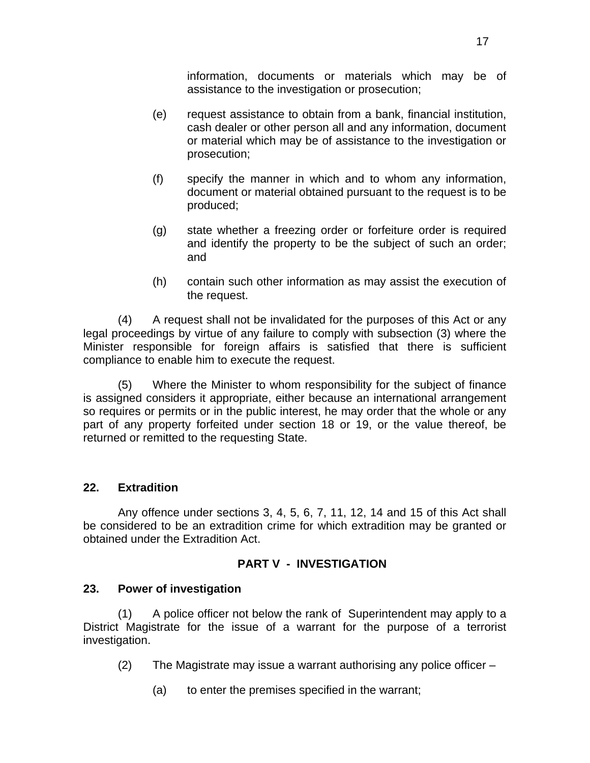information, documents or materials which may be of assistance to the investigation or prosecution;

- (e) request assistance to obtain from a bank, financial institution, cash dealer or other person all and any information, document or material which may be of assistance to the investigation or prosecution;
- (f) specify the manner in which and to whom any information, document or material obtained pursuant to the request is to be produced;
- (g) state whether a freezing order or forfeiture order is required and identify the property to be the subject of such an order; and
- (h) contain such other information as may assist the execution of the request.

(4) A request shall not be invalidated for the purposes of this Act or any legal proceedings by virtue of any failure to comply with subsection (3) where the Minister responsible for foreign affairs is satisfied that there is sufficient compliance to enable him to execute the request.

(5) Where the Minister to whom responsibility for the subject of finance is assigned considers it appropriate, either because an international arrangement so requires or permits or in the public interest, he may order that the whole or any part of any property forfeited under section 18 or 19, or the value thereof, be returned or remitted to the requesting State.

# **22. Extradition**

 Any offence under sections 3, 4, 5, 6, 7, 11, 12, 14 and 15 of this Act shall be considered to be an extradition crime for which extradition may be granted or obtained under the Extradition Act.

### **PART V - INVESTIGATION**

### **23. Power of investigation**

(1) A police officer not below the rank of Superintendent may apply to a District Magistrate for the issue of a warrant for the purpose of a terrorist investigation.

- (2) The Magistrate may issue a warrant authorising any police officer
	- (a) to enter the premises specified in the warrant;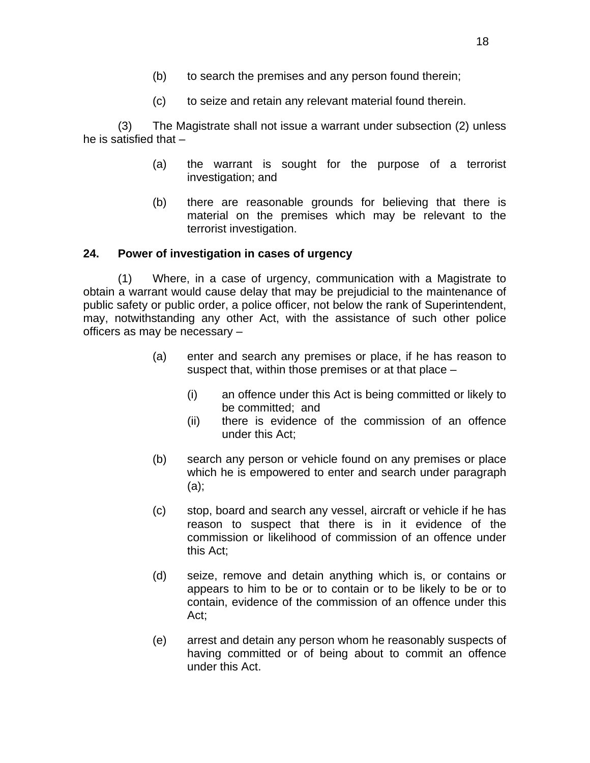- (b) to search the premises and any person found therein;
- (c) to seize and retain any relevant material found therein.

(3) The Magistrate shall not issue a warrant under subsection (2) unless he is satisfied that –

- (a) the warrant is sought for the purpose of a terrorist investigation; and
- (b) there are reasonable grounds for believing that there is material on the premises which may be relevant to the terrorist investigation.

## **24. Power of investigation in cases of urgency**

(1) Where, in a case of urgency, communication with a Magistrate to obtain a warrant would cause delay that may be prejudicial to the maintenance of public safety or public order, a police officer, not below the rank of Superintendent, may, notwithstanding any other Act, with the assistance of such other police officers as may be necessary –

- (a) enter and search any premises or place, if he has reason to suspect that, within those premises or at that place –
	- (i) an offence under this Act is being committed or likely to be committed; and
	- (ii) there is evidence of the commission of an offence under this Act;
- (b) search any person or vehicle found on any premises or place which he is empowered to enter and search under paragraph (a);
- (c) stop, board and search any vessel, aircraft or vehicle if he has reason to suspect that there is in it evidence of the commission or likelihood of commission of an offence under this Act;
- (d) seize, remove and detain anything which is, or contains or appears to him to be or to contain or to be likely to be or to contain, evidence of the commission of an offence under this Act;
- (e) arrest and detain any person whom he reasonably suspects of having committed or of being about to commit an offence under this Act.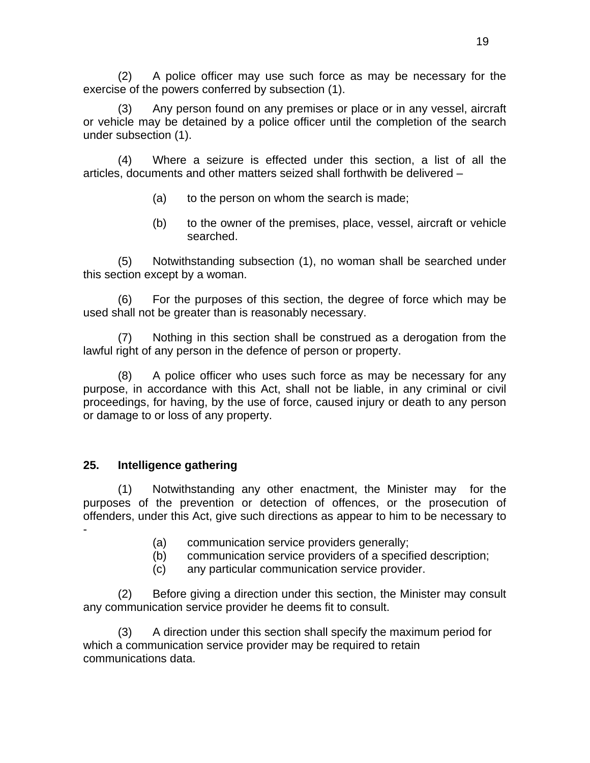(2) A police officer may use such force as may be necessary for the exercise of the powers conferred by subsection (1).

(3) Any person found on any premises or place or in any vessel, aircraft or vehicle may be detained by a police officer until the completion of the search under subsection (1).

(4) Where a seizure is effected under this section, a list of all the articles, documents and other matters seized shall forthwith be delivered –

- (a) to the person on whom the search is made;
- (b) to the owner of the premises, place, vessel, aircraft or vehicle searched.

(5) Notwithstanding subsection (1), no woman shall be searched under this section except by a woman.

(6) For the purposes of this section, the degree of force which may be used shall not be greater than is reasonably necessary.

(7) Nothing in this section shall be construed as a derogation from the lawful right of any person in the defence of person or property.

(8) A police officer who uses such force as may be necessary for any purpose, in accordance with this Act, shall not be liable, in any criminal or civil proceedings, for having, by the use of force, caused injury or death to any person or damage to or loss of any property.

# **25. Intelligence gathering**

(1) Notwithstanding any other enactment, the Minister may for the purposes of the prevention or detection of offences, or the prosecution of offenders, under this Act, give such directions as appear to him to be necessary to -

- (a) communication service providers generally;
- (b) communication service providers of a specified description;
- (c) any particular communication service provider.

(2) Before giving a direction under this section, the Minister may consult any communication service provider he deems fit to consult.

(3) A direction under this section shall specify the maximum period for which a communication service provider may be required to retain communications data.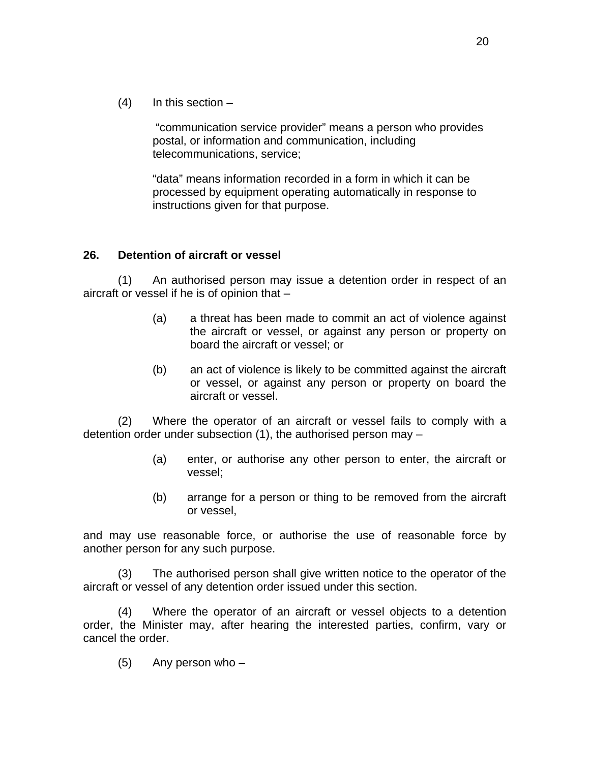$(4)$  In this section –

 "communication service provider" means a person who provides postal, or information and communication, including telecommunications, service;

"data" means information recorded in a form in which it can be processed by equipment operating automatically in response to instructions given for that purpose.

### **26. Detention of aircraft or vessel**

(1) An authorised person may issue a detention order in respect of an aircraft or vessel if he is of opinion that –

- (a) a threat has been made to commit an act of violence against the aircraft or vessel, or against any person or property on board the aircraft or vessel; or
- (b) an act of violence is likely to be committed against the aircraft or vessel, or against any person or property on board the aircraft or vessel.

(2) Where the operator of an aircraft or vessel fails to comply with a detention order under subsection (1), the authorised person may –

- (a) enter, or authorise any other person to enter, the aircraft or vessel;
- (b) arrange for a person or thing to be removed from the aircraft or vessel,

and may use reasonable force, or authorise the use of reasonable force by another person for any such purpose.

(3) The authorised person shall give written notice to the operator of the aircraft or vessel of any detention order issued under this section.

(4) Where the operator of an aircraft or vessel objects to a detention order, the Minister may, after hearing the interested parties, confirm, vary or cancel the order.

(5) Any person who –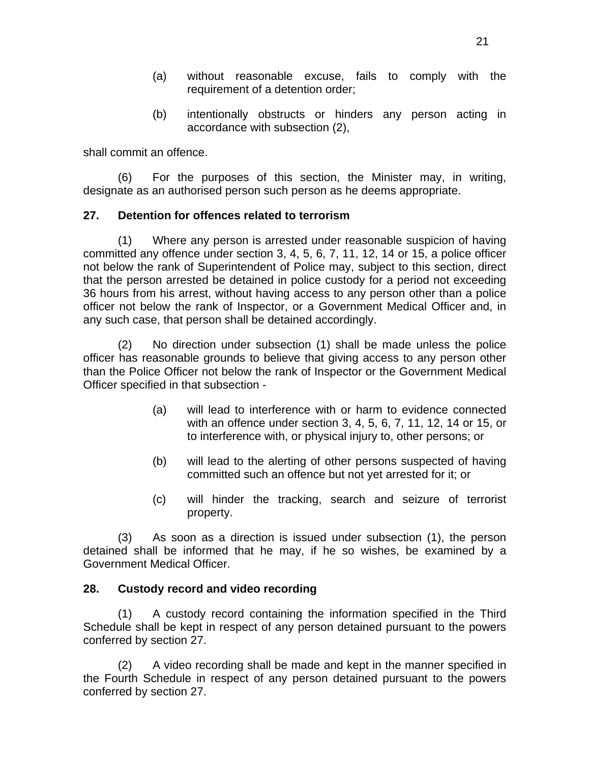- (a) without reasonable excuse, fails to comply with the requirement of a detention order;
- (b) intentionally obstructs or hinders any person acting in accordance with subsection (2),

shall commit an offence.

(6) For the purposes of this section, the Minister may, in writing, designate as an authorised person such person as he deems appropriate.

## **27. Detention for offences related to terrorism**

(1) Where any person is arrested under reasonable suspicion of having committed any offence under section 3, 4, 5, 6, 7, 11, 12, 14 or 15, a police officer not below the rank of Superintendent of Police may, subject to this section, direct that the person arrested be detained in police custody for a period not exceeding 36 hours from his arrest, without having access to any person other than a police officer not below the rank of Inspector, or a Government Medical Officer and, in any such case, that person shall be detained accordingly.

 (2) No direction under subsection (1) shall be made unless the police officer has reasonable grounds to believe that giving access to any person other than the Police Officer not below the rank of Inspector or the Government Medical Officer specified in that subsection -

- (a) will lead to interference with or harm to evidence connected with an offence under section 3, 4, 5, 6, 7, 11, 12, 14 or 15, or to interference with, or physical injury to, other persons; or
- (b) will lead to the alerting of other persons suspected of having committed such an offence but not yet arrested for it; or
- (c) will hinder the tracking, search and seizure of terrorist property.

(3) As soon as a direction is issued under subsection (1), the person detained shall be informed that he may, if he so wishes, be examined by a Government Medical Officer.

### **28. Custody record and video recording**

(1) A custody record containing the information specified in the Third Schedule shall be kept in respect of any person detained pursuant to the powers conferred by section 27.

(2) A video recording shall be made and kept in the manner specified in the Fourth Schedule in respect of any person detained pursuant to the powers conferred by section 27.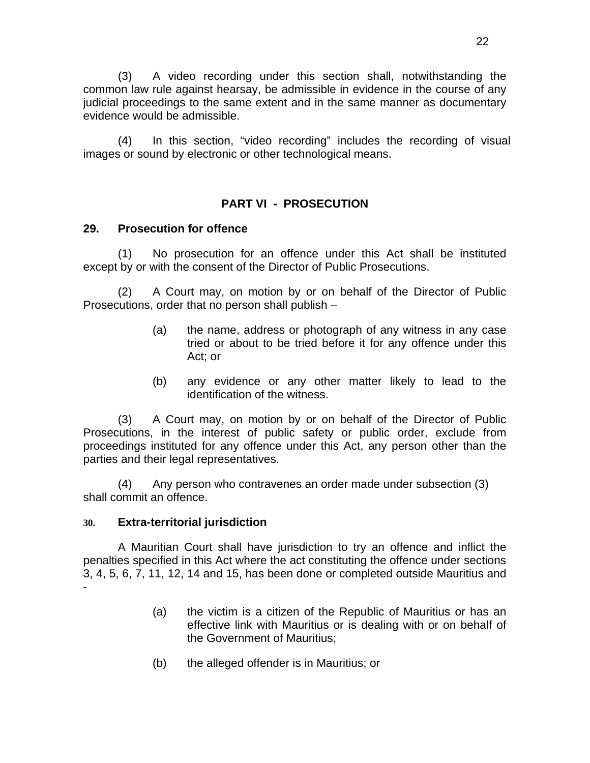(3) A video recording under this section shall, notwithstanding the common law rule against hearsay, be admissible in evidence in the course of any judicial proceedings to the same extent and in the same manner as documentary evidence would be admissible.

(4) In this section, "video recording" includes the recording of visual images or sound by electronic or other technological means.

## **PART VI - PROSECUTION**

### **29. Prosecution for offence**

(1) No prosecution for an offence under this Act shall be instituted except by or with the consent of the Director of Public Prosecutions.

(2) A Court may, on motion by or on behalf of the Director of Public Prosecutions, order that no person shall publish –

- (a) the name, address or photograph of any witness in any case tried or about to be tried before it for any offence under this Act; or
- (b) any evidence or any other matter likely to lead to the identification of the witness.

(3) A Court may, on motion by or on behalf of the Director of Public Prosecutions, in the interest of public safety or public order, exclude from proceedings instituted for any offence under this Act, any person other than the parties and their legal representatives.

(4) Any person who contravenes an order made under subsection (3) shall commit an offence.

#### **30. Extra-territorial jurisdiction**

A Mauritian Court shall have jurisdiction to try an offence and inflict the penalties specified in this Act where the act constituting the offence under sections 3, 4, 5, 6, 7, 11, 12, 14 and 15, has been done or completed outside Mauritius and -

- (a) the victim is a citizen of the Republic of Mauritius or has an effective link with Mauritius or is dealing with or on behalf of the Government of Mauritius;
- (b) the alleged offender is in Mauritius; or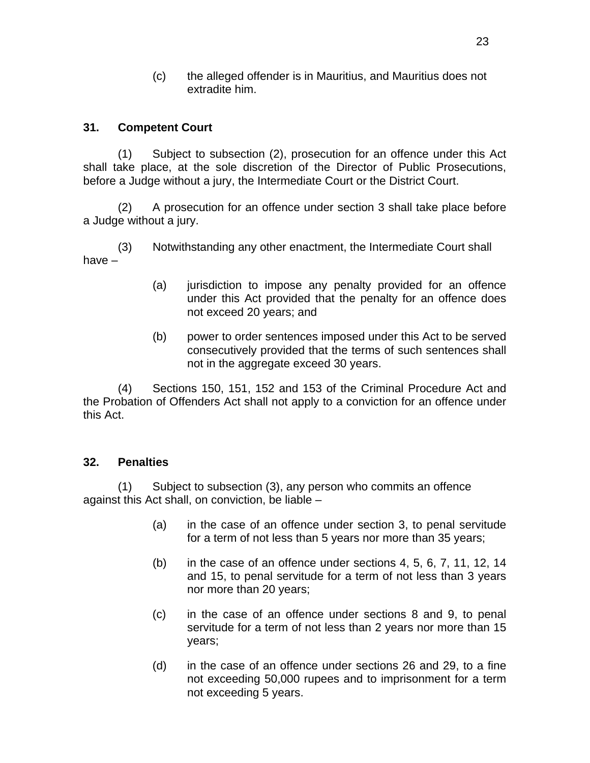(c) the alleged offender is in Mauritius, and Mauritius does not extradite him.

# **31. Competent Court**

(1) Subject to subsection (2), prosecution for an offence under this Act shall take place, at the sole discretion of the Director of Public Prosecutions, before a Judge without a jury, the Intermediate Court or the District Court.

(2) A prosecution for an offence under section 3 shall take place before a Judge without a jury.

(3) Notwithstanding any other enactment, the Intermediate Court shall have –

- (a) jurisdiction to impose any penalty provided for an offence under this Act provided that the penalty for an offence does not exceed 20 years; and
- (b) power to order sentences imposed under this Act to be served consecutively provided that the terms of such sentences shall not in the aggregate exceed 30 years.

(4) Sections 150, 151, 152 and 153 of the Criminal Procedure Act and the Probation of Offenders Act shall not apply to a conviction for an offence under this Act.

### **32. Penalties**

(1) Subject to subsection (3), any person who commits an offence against this Act shall, on conviction, be liable –

- (a) in the case of an offence under section 3, to penal servitude for a term of not less than 5 years nor more than 35 years;
- $(b)$  in the case of an offence under sections 4, 5, 6, 7, 11, 12, 14 and 15, to penal servitude for a term of not less than 3 years nor more than 20 years;
- (c) in the case of an offence under sections 8 and 9, to penal servitude for a term of not less than 2 years nor more than 15 years;
- (d) in the case of an offence under sections 26 and 29, to a fine not exceeding 50,000 rupees and to imprisonment for a term not exceeding 5 years.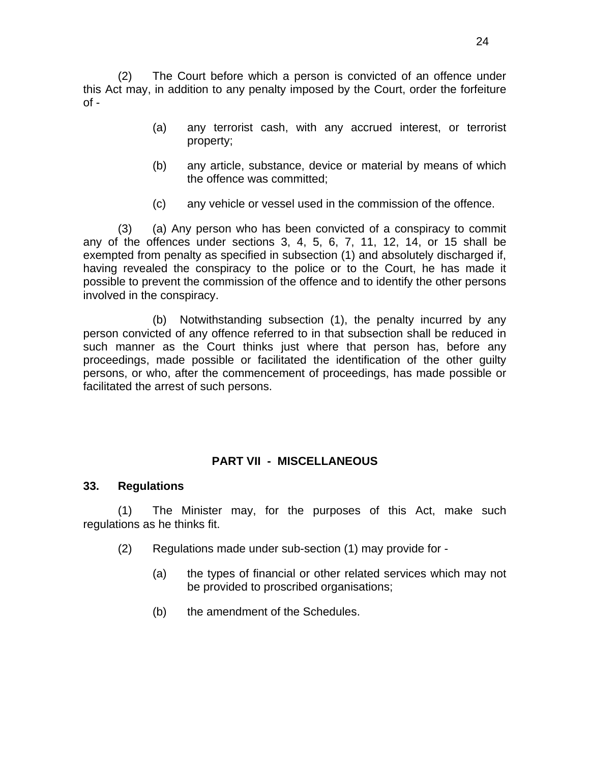(2) The Court before which a person is convicted of an offence under this Act may, in addition to any penalty imposed by the Court, order the forfeiture  $of -$ 

- (a) any terrorist cash, with any accrued interest, or terrorist property;
- (b) any article, substance, device or material by means of which the offence was committed;
- (c) any vehicle or vessel used in the commission of the offence.

 (3) (a) Any person who has been convicted of a conspiracy to commit any of the offences under sections 3, 4, 5, 6, 7, 11, 12, 14, or 15 shall be exempted from penalty as specified in subsection (1) and absolutely discharged if, having revealed the conspiracy to the police or to the Court, he has made it possible to prevent the commission of the offence and to identify the other persons involved in the conspiracy.

 (b) Notwithstanding subsection (1), the penalty incurred by any person convicted of any offence referred to in that subsection shall be reduced in such manner as the Court thinks just where that person has, before any proceedings, made possible or facilitated the identification of the other guilty persons, or who, after the commencement of proceedings, has made possible or facilitated the arrest of such persons.

# **PART VII - MISCELLANEOUS**

#### **33. Regulations**

(1) The Minister may, for the purposes of this Act, make such regulations as he thinks fit.

- (2) Regulations made under sub-section (1) may provide for
	- (a) the types of financial or other related services which may not be provided to proscribed organisations;
	- (b) the amendment of the Schedules.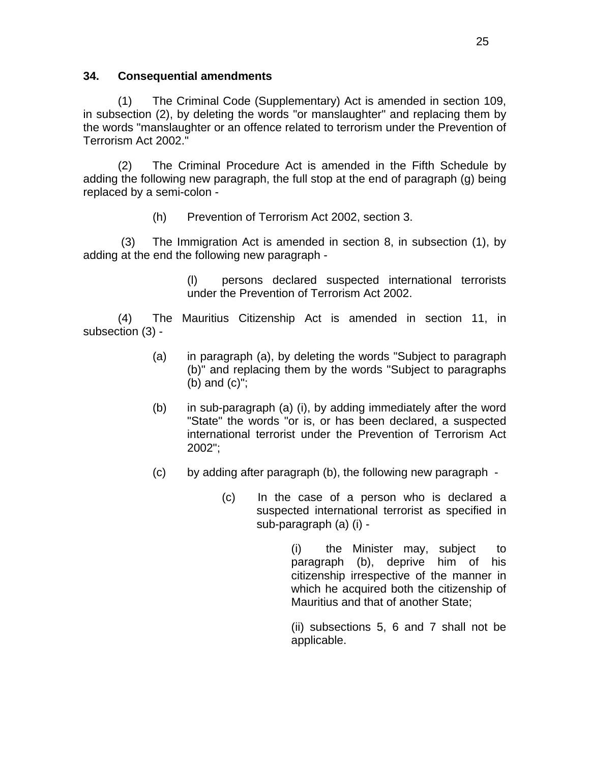### **34. Consequential amendments**

(1) The Criminal Code (Supplementary) Act is amended in section 109, in subsection (2), by deleting the words "or manslaughter" and replacing them by the words "manslaughter or an offence related to terrorism under the Prevention of Terrorism Act 2002."

(2) The Criminal Procedure Act is amended in the Fifth Schedule by adding the following new paragraph, the full stop at the end of paragraph (g) being replaced by a semi-colon -

(h) Prevention of Terrorism Act 2002, section 3.

 (3) The Immigration Act is amended in section 8, in subsection (1), by adding at the end the following new paragraph -

> (l) persons declared suspected international terrorists under the Prevention of Terrorism Act 2002.

(4) The Mauritius Citizenship Act is amended in section 11, in subsection (3) -

- (a) in paragraph (a), by deleting the words "Subject to paragraph (b)" and replacing them by the words "Subject to paragraphs (b) and (c)";
- (b) in sub-paragraph (a) (i), by adding immediately after the word "State" the words "or is, or has been declared, a suspected international terrorist under the Prevention of Terrorism Act 2002";
- (c) by adding after paragraph (b), the following new paragraph
	- (c) In the case of a person who is declared a suspected international terrorist as specified in sub-paragraph (a) (i) -

 (i) the Minister may, subject to paragraph (b), deprive him of his citizenship irrespective of the manner in which he acquired both the citizenship of Mauritius and that of another State;

 (ii) subsections 5, 6 and 7 shall not be applicable.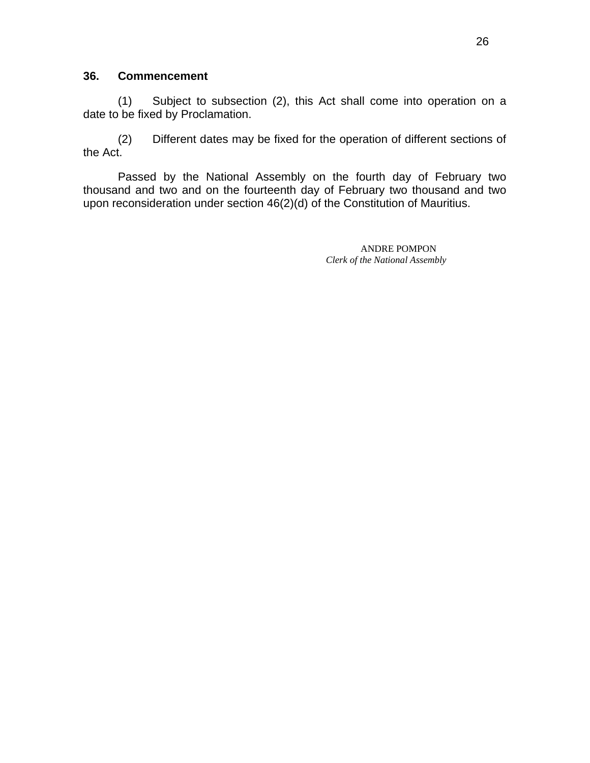#### **36. Commencement**

(1) Subject to subsection (2), this Act shall come into operation on a date to be fixed by Proclamation.

(2) Different dates may be fixed for the operation of different sections of the Act.

 Passed by the National Assembly on the fourth day of February two thousand and two and on the fourteenth day of February two thousand and two upon reconsideration under section 46(2)(d) of the Constitution of Mauritius.

> ANDRE POMPON *Clerk of the National Assembly*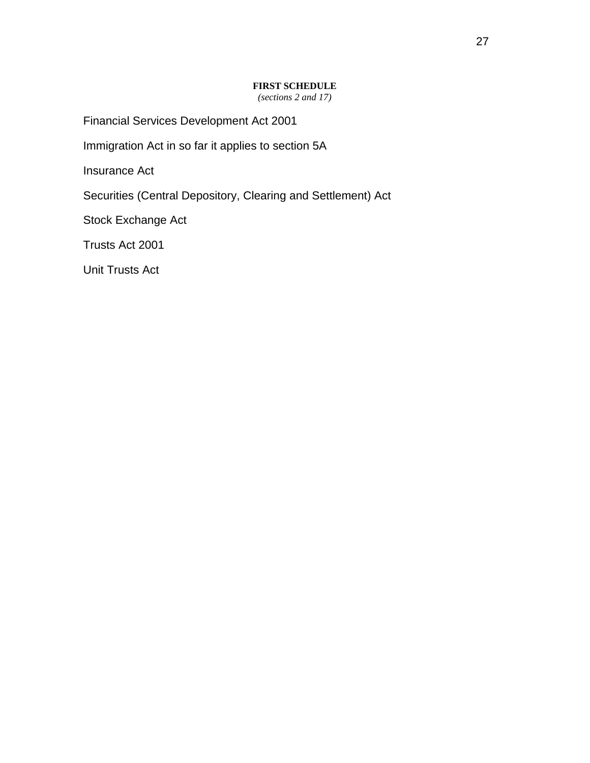#### **FIRST SCHEDULE**

*(sections 2 and 17)* 

Financial Services Development Act 2001

Immigration Act in so far it applies to section 5A

Insurance Act

Securities (Central Depository, Clearing and Settlement) Act

Stock Exchange Act

Trusts Act 2001

Unit Trusts Act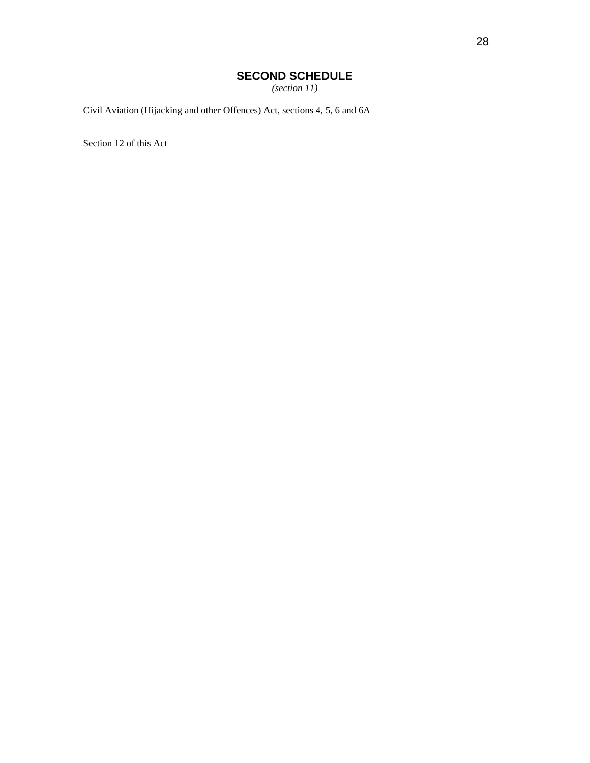# **SECOND SCHEDULE**

*(section 11)* 

Civil Aviation (Hijacking and other Offences) Act, sections 4, 5, 6 and 6A

Section 12 of this Act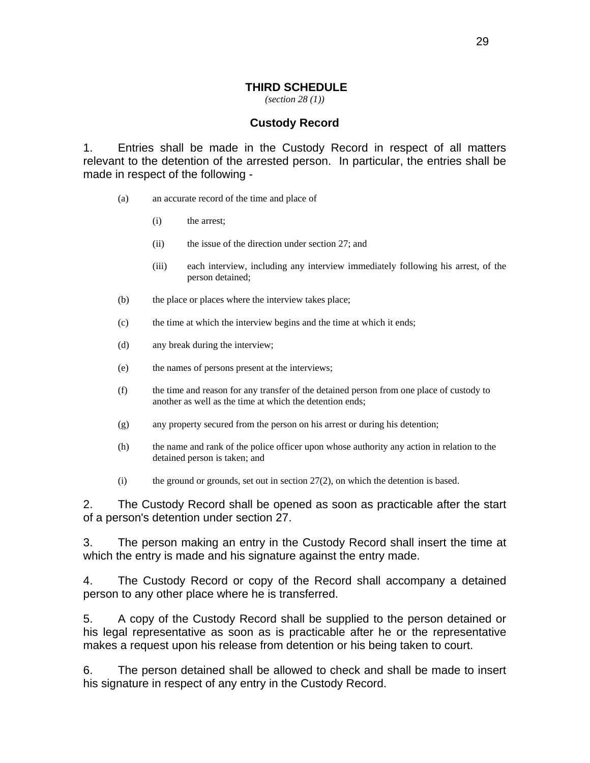#### **THIRD SCHEDULE**

*(section 28 (1))*

#### **Custody Record**

1. Entries shall be made in the Custody Record in respect of all matters relevant to the detention of the arrested person. In particular, the entries shall be made in respect of the following -

- (a) an accurate record of the time and place of
	- (i) the arrest;
	- (ii) the issue of the direction under section 27; and
	- (iii) each interview, including any interview immediately following his arrest*,* of the person detained;
- (b) the place or places where the interview takes place;
- (c) the time at which the interview begins and the time at which it ends;
- (d) any break during the interview;
- (e) the names of persons present at the interviews;
- (f) the time and reason for any transfer of the detained person from one place of custody to another as well as the time at which the detention ends;
- (g) any property secured from the person on his arrest or during his detention;
- (h) the name and rank of the police officer upon whose authority any action in relation to the detained person is taken; and
- (i) the ground or grounds, set out in section 27(2), on which the detention is based.

2. The Custody Record shall be opened as soon as practicable after the start of a person's detention under section 27.

3. The person making an entry in the Custody Record shall insert the time at which the entry is made and his signature against the entry made.

4. The Custody Record or copy of the Record shall accompany a detained person to any other place where he is transferred.

5. A copy of the Custody Record shall be supplied to the person detained or his legal representative as soon as is practicable after he or the representative makes a request upon his release from detention or his being taken to court.

6. The person detained shall be allowed to check and shall be made to insert his signature in respect of any entry in the Custody Record.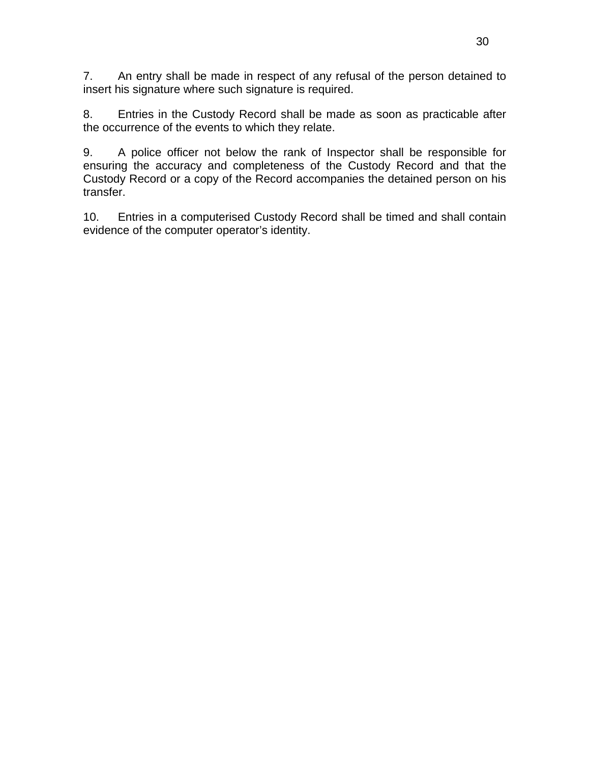7. An entry shall be made in respect of any refusal of the person detained to insert his signature where such signature is required.

8. Entries in the Custody Record shall be made as soon as practicable after the occurrence of the events to which they relate.

 9. A police officer not below the rank of Inspector shall be responsible for ensuring the accuracy and completeness of the Custody Record and that the Custody Record or a copy of the Record accompanies the detained person on his transfer.

 10. Entries in a computerised Custody Record shall be timed and shall contain evidence of the computer operator's identity.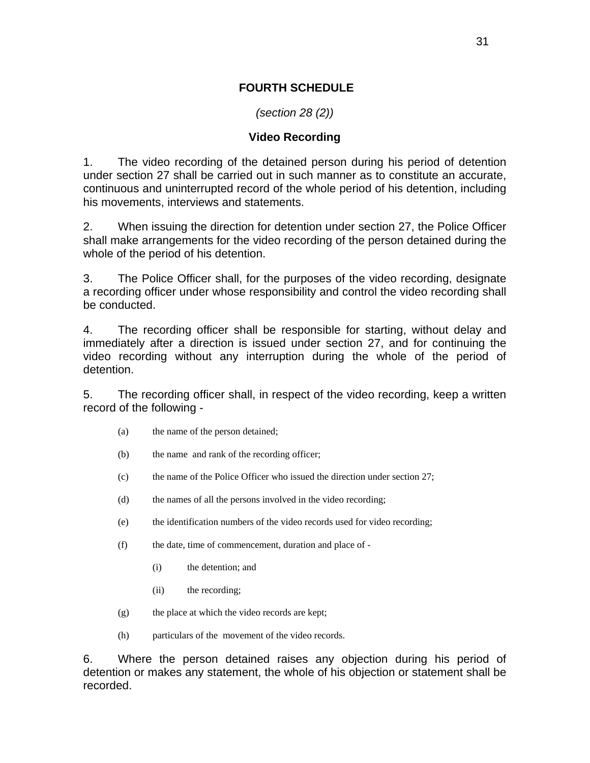### **FOURTH SCHEDULE**

## *(section 28 (2))*

#### **Video Recording**

1. The video recording of the detained person during his period of detention under section 27 shall be carried out in such manner as to constitute an accurate, continuous and uninterrupted record of the whole period of his detention, including his movements, interviews and statements.

2. When issuing the direction for detention under section 27, the Police Officer shall make arrangements for the video recording of the person detained during the whole of the period of his detention.

3. The Police Officer shall, for the purposes of the video recording, designate a recording officer under whose responsibility and control the video recording shall be conducted.

4. The recording officer shall be responsible for starting, without delay and immediately after a direction is issued under section 27, and for continuing the video recording without any interruption during the whole of the period of detention.

5. The recording officer shall, in respect of the video recording, keep a written record of the following -

- (a) the name of the person detained;
- (b) the name and rank of the recording officer;
- (c) the name of the Police Officer who issued the direction under section 27;
- (d) the names of all the persons involved in the video recording;
- (e) the identification numbers of the video records used for video recording;
- (f) the date, time of commencement, duration and place of
	- (i) the detention; and
	- (ii) the recording;
- (g) the place at which the video records are kept;
- (h) particulars of the movement of the video records.

6. Where the person detained raises any objection during his period of detention or makes any statement, the whole of his objection or statement shall be recorded.